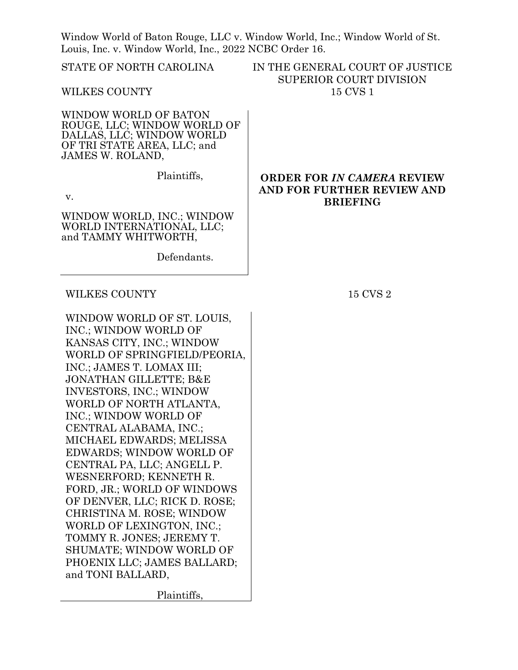Window World of Baton Rouge, LLC v. Window World, Inc.; Window World of St. Louis, Inc. v. Window World, Inc., 2022 NCBC Order 16.

STATE OF NORTH CAROLINA

WILKES COUNTY

WINDOW WORLD OF BATON ROUGE, LLC; WINDOW WORLD OF DALLAS, LLC; WINDOW WORLD OF TRI STATE AREA, LLC; and JAMES W. ROLAND,

Plaintiffs,

v.

WINDOW WORLD, INC.; WINDOW WORLD INTERNATIONAL, LLC; and TAMMY WHITWORTH,

Defendants.

## WILKES COUNTY 15 CVS 2

WINDOW WORLD OF ST. LOUIS, INC.; WINDOW WORLD OF KANSAS CITY, INC.; WINDOW WORLD OF SPRINGFIELD/PEORIA, INC.; JAMES T. LOMAX III; JONATHAN GILLETTE; B&E INVESTORS, INC.; WINDOW WORLD OF NORTH ATLANTA, INC.; WINDOW WORLD OF CENTRAL ALABAMA, INC.; MICHAEL EDWARDS; MELISSA EDWARDS; WINDOW WORLD OF CENTRAL PA, LLC; ANGELL P. WESNERFORD; KENNETH R. FORD, JR.; WORLD OF WINDOWS OF DENVER, LLC; RICK D. ROSE; CHRISTINA M. ROSE; WINDOW WORLD OF LEXINGTON, INC.; TOMMY R. JONES; JEREMY T. SHUMATE; WINDOW WORLD OF PHOENIX LLC; JAMES BALLARD; and TONI BALLARD,

Plaintiffs,

IN THE GENERAL COURT OF JUSTICE SUPERIOR COURT DIVISION 15 CVS 1

## **ORDER FOR** *IN CAMERA* **REVIEW AND FOR FURTHER REVIEW AND BRIEFING**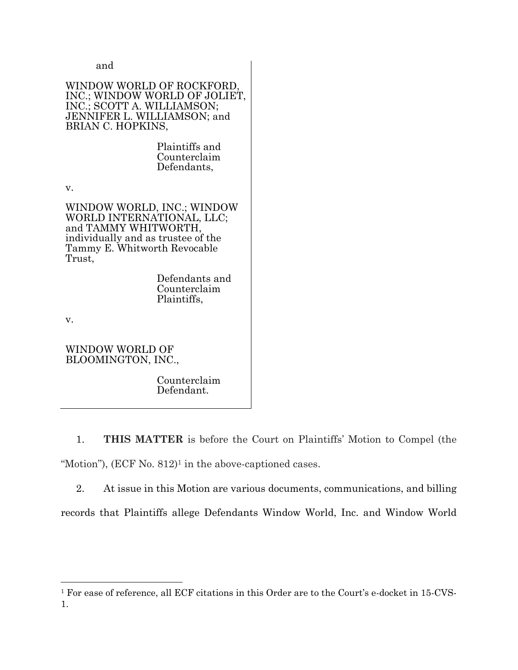## and

## WINDOW WORLD OF ROCKFORD, INC.; WINDOW WORLD OF JOLIET, INC.; SCOTT A. WILLIAMSON; JENNIFER L. WILLIAMSON; and BRIAN C. HOPKINS,

Plaintiffs and Counterclaim Defendants,

v.

WINDOW WORLD, INC.; WINDOW WORLD INTERNATIONAL, LLC; and TAMMY WHITWORTH, individually and as trustee of the Tammy E. Whitworth Revocable Trust,

> Defendants and Counterclaim Plaintiffs,

v.

WINDOW WORLD OF BLOOMINGTON, INC.,

> Counterclaim Defendant.

1. **THIS MATTER** is before the Court on Plaintiffs' Motion to Compel (the "Motion"),  $(ECF No. 812)<sup>1</sup>$  in the above-captioned cases.

2. At issue in this Motion are various documents, communications, and billing records that Plaintiffs allege Defendants Window World, Inc. and Window World

<sup>1</sup> For ease of reference, all ECF citations in this Order are to the Court's e-docket in 15-CVS-1.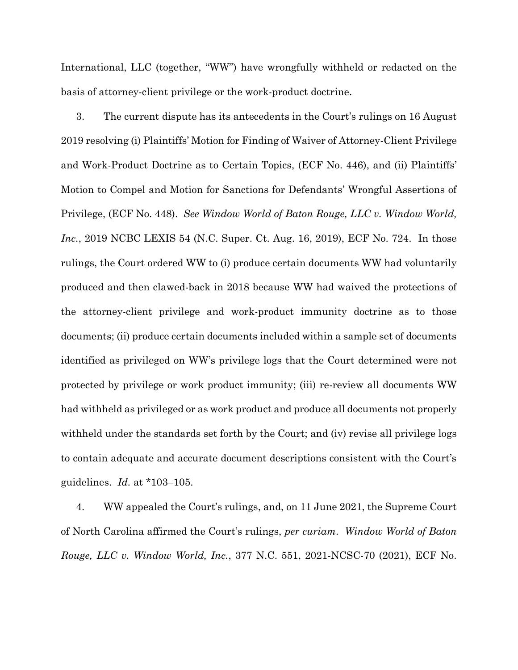International, LLC (together, "WW") have wrongfully withheld or redacted on the basis of attorney-client privilege or the work-product doctrine.

3. The current dispute has its antecedents in the Court's rulings on 16 August 2019 resolving (i) Plaintiffs' Motion for Finding of Waiver of Attorney-Client Privilege and Work-Product Doctrine as to Certain Topics, (ECF No. 446), and (ii) Plaintiffs' Motion to Compel and Motion for Sanctions for Defendants' Wrongful Assertions of Privilege, (ECF No. 448). *See Window World of Baton Rouge, LLC v. Window World, Inc.*, 2019 NCBC LEXIS 54 (N.C. Super. Ct. Aug. 16, 2019), ECF No. 724. In those rulings, the Court ordered WW to (i) produce certain documents WW had voluntarily produced and then clawed-back in 2018 because WW had waived the protections of the attorney-client privilege and work-product immunity doctrine as to those documents; (ii) produce certain documents included within a sample set of documents identified as privileged on WW's privilege logs that the Court determined were not protected by privilege or work product immunity; (iii) re-review all documents WW had withheld as privileged or as work product and produce all documents not properly withheld under the standards set forth by the Court; and (iv) revise all privilege logs to contain adequate and accurate document descriptions consistent with the Court's guidelines. *Id.* at \*103–105.

4. WW appealed the Court's rulings, and, on 11 June 2021, the Supreme Court of North Carolina affirmed the Court's rulings, *per curiam*. *Window World of Baton Rouge, LLC v. Window World, Inc.*, 377 N.C. 551, 2021-NCSC-70 (2021), ECF No.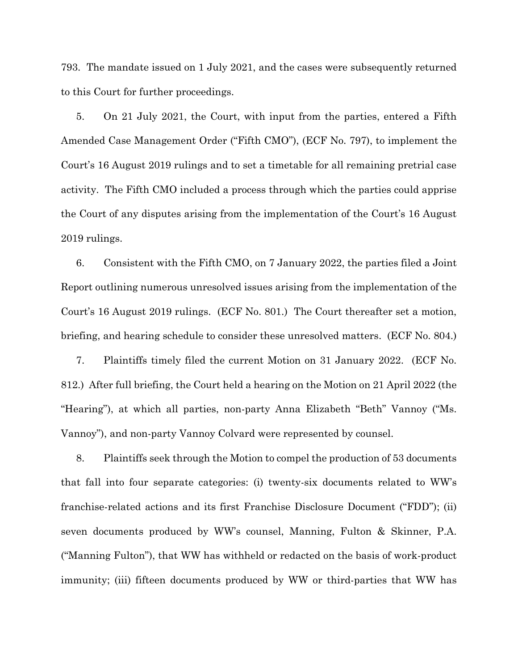793. The mandate issued on 1 July 2021, and the cases were subsequently returned to this Court for further proceedings.

5. On 21 July 2021, the Court, with input from the parties, entered a Fifth Amended Case Management Order ("Fifth CMO"), (ECF No. 797), to implement the Court's 16 August 2019 rulings and to set a timetable for all remaining pretrial case activity. The Fifth CMO included a process through which the parties could apprise the Court of any disputes arising from the implementation of the Court's 16 August 2019 rulings.

6. Consistent with the Fifth CMO, on 7 January 2022, the parties filed a Joint Report outlining numerous unresolved issues arising from the implementation of the Court's 16 August 2019 rulings. (ECF No. 801.) The Court thereafter set a motion, briefing, and hearing schedule to consider these unresolved matters. (ECF No. 804.)

7. Plaintiffs timely filed the current Motion on 31 January 2022. (ECF No. 812.) After full briefing, the Court held a hearing on the Motion on 21 April 2022 (the "Hearing"), at which all parties, non-party Anna Elizabeth "Beth" Vannoy ("Ms. Vannoy"), and non-party Vannoy Colvard were represented by counsel.

8. Plaintiffs seek through the Motion to compel the production of 53 documents that fall into four separate categories: (i) twenty-six documents related to WW's franchise-related actions and its first Franchise Disclosure Document ("FDD"); (ii) seven documents produced by WW's counsel, Manning, Fulton & Skinner, P.A. ("Manning Fulton"), that WW has withheld or redacted on the basis of work-product immunity; (iii) fifteen documents produced by WW or third-parties that WW has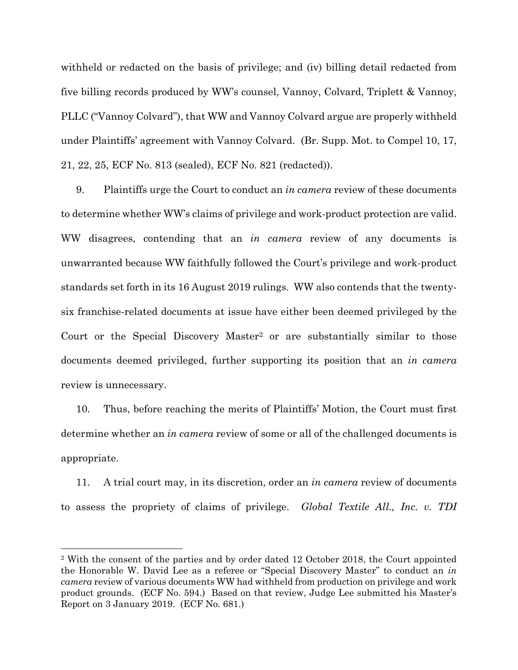withheld or redacted on the basis of privilege; and (iv) billing detail redacted from five billing records produced by WW's counsel, Vannoy, Colvard, Triplett & Vannoy, PLLC ("Vannoy Colvard"), that WW and Vannoy Colvard argue are properly withheld under Plaintiffs' agreement with Vannoy Colvard. (Br. Supp. Mot. to Compel 10, 17, 21, 22, 25, ECF No. 813 (sealed), ECF No. 821 (redacted)).

9. Plaintiffs urge the Court to conduct an *in camera* review of these documents to determine whether WW's claims of privilege and work-product protection are valid. WW disagrees, contending that an *in camera* review of any documents is unwarranted because WW faithfully followed the Court's privilege and work-product standards set forth in its 16 August 2019 rulings. WW also contends that the twentysix franchise-related documents at issue have either been deemed privileged by the Court or the Special Discovery Master<sup>2</sup> or are substantially similar to those documents deemed privileged, further supporting its position that an *in camera* review is unnecessary.

10. Thus, before reaching the merits of Plaintiffs' Motion, the Court must first determine whether an *in camera* review of some or all of the challenged documents is appropriate.

11. A trial court may, in its discretion, order an *in camera* review of documents to assess the propriety of claims of privilege. *Global Textile All., Inc. v. TDI*

<sup>2</sup> With the consent of the parties and by order dated 12 October 2018, the Court appointed the Honorable W. David Lee as a referee or "Special Discovery Master" to conduct an *in camera* review of various documents WW had withheld from production on privilege and work product grounds. (ECF No. 594.) Based on that review, Judge Lee submitted his Master's Report on 3 January 2019. (ECF No. 681.)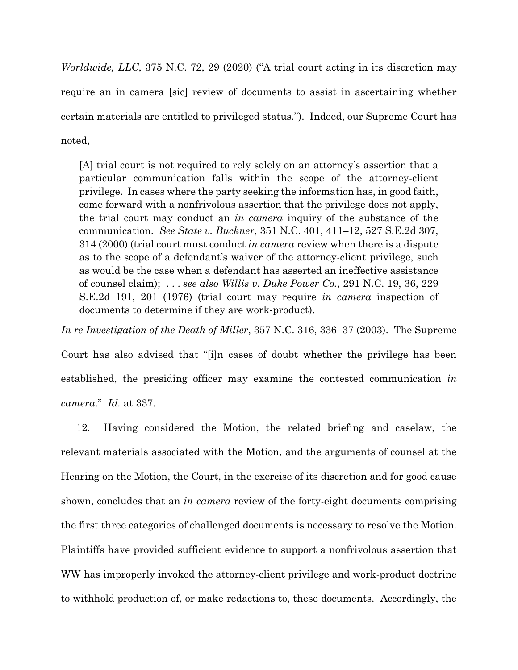*Worldwide, LLC*, 375 N.C. 72, 29 (2020) ("A trial court acting in its discretion may require an in camera [sic] review of documents to assist in ascertaining whether certain materials are entitled to privileged status."). Indeed, our Supreme Court has noted,

[A] trial court is not required to rely solely on an attorney's assertion that a particular communication falls within the scope of the attorney-client privilege. In cases where the party seeking the information has, in good faith, come forward with a nonfrivolous assertion that the privilege does not apply, the trial court may conduct an *in camera* inquiry of the substance of the communication. *See State v. Buckner*, 351 N.C. 401, 411–12, 527 S.E.2d 307, 314 (2000) (trial court must conduct *in camera* review when there is a dispute as to the scope of a defendant's waiver of the attorney-client privilege, such as would be the case when a defendant has asserted an ineffective assistance of counsel claim); . . . *see also Willis v. Duke Power Co.*, 291 N.C. 19, 36, 229 S.E.2d 191, 201 (1976) (trial court may require *in camera* inspection of documents to determine if they are work-product).

*In re Investigation of the Death of Miller*, 357 N.C. 316, 336–37 (2003). The Supreme Court has also advised that "[i]n cases of doubt whether the privilege has been established, the presiding officer may examine the contested communication *in camera*." *Id.* at 337.

12. Having considered the Motion, the related briefing and caselaw, the relevant materials associated with the Motion, and the arguments of counsel at the Hearing on the Motion, the Court, in the exercise of its discretion and for good cause shown, concludes that an *in camera* review of the forty-eight documents comprising the first three categories of challenged documents is necessary to resolve the Motion. Plaintiffs have provided sufficient evidence to support a nonfrivolous assertion that WW has improperly invoked the attorney-client privilege and work-product doctrine to withhold production of, or make redactions to, these documents. Accordingly, the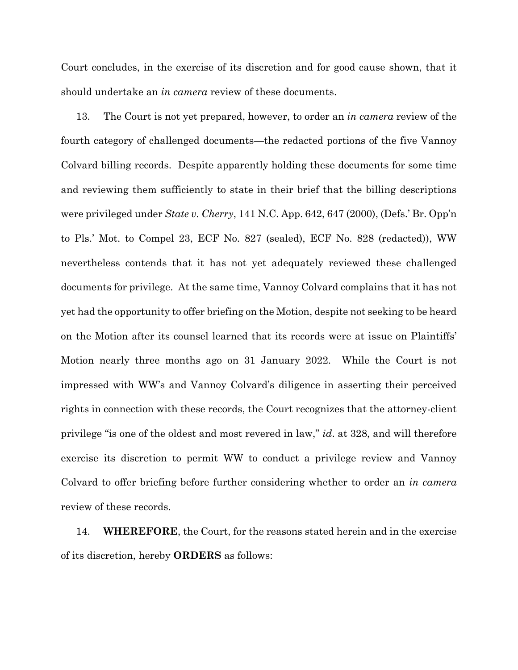Court concludes, in the exercise of its discretion and for good cause shown, that it should undertake an *in camera* review of these documents.

13. The Court is not yet prepared, however, to order an *in camera* review of the fourth category of challenged documents—the redacted portions of the five Vannoy Colvard billing records. Despite apparently holding these documents for some time and reviewing them sufficiently to state in their brief that the billing descriptions were privileged under *State v. Cherry*, 141 N.C. App. 642, 647 (2000), (Defs.' Br. Opp'n to Pls.' Mot. to Compel 23, ECF No. 827 (sealed), ECF No. 828 (redacted)), WW nevertheless contends that it has not yet adequately reviewed these challenged documents for privilege. At the same time, Vannoy Colvard complains that it has not yet had the opportunity to offer briefing on the Motion, despite not seeking to be heard on the Motion after its counsel learned that its records were at issue on Plaintiffs' Motion nearly three months ago on 31 January 2022. While the Court is not impressed with WW's and Vannoy Colvard's diligence in asserting their perceived rights in connection with these records, the Court recognizes that the attorney-client privilege "is one of the oldest and most revered in law," *id*. at 328, and will therefore exercise its discretion to permit WW to conduct a privilege review and Vannoy Colvard to offer briefing before further considering whether to order an *in camera* review of these records.

14. **WHEREFORE**, the Court, for the reasons stated herein and in the exercise of its discretion, hereby **ORDERS** as follows: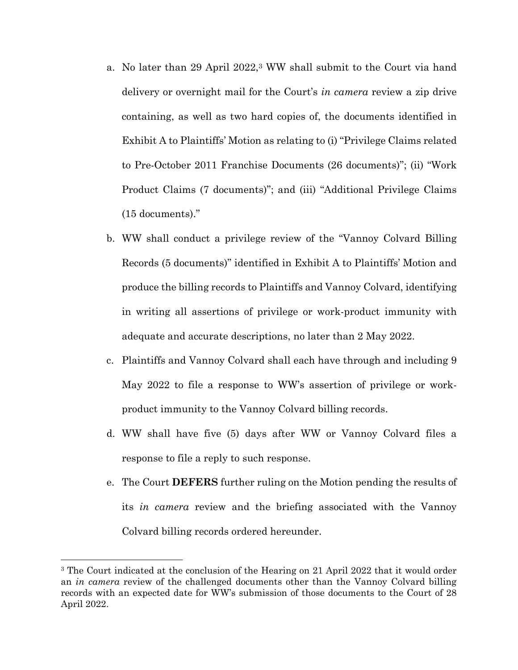- a. No later than 29 April 2022,<sup>3</sup> WW shall submit to the Court via hand delivery or overnight mail for the Court's *in camera* review a zip drive containing, as well as two hard copies of, the documents identified in Exhibit A to Plaintiffs' Motion as relating to (i) "Privilege Claims related to Pre-October 2011 Franchise Documents (26 documents)"; (ii) "Work Product Claims (7 documents)"; and (iii) "Additional Privilege Claims (15 documents)."
- b. WW shall conduct a privilege review of the "Vannoy Colvard Billing Records (5 documents)" identified in Exhibit A to Plaintiffs' Motion and produce the billing records to Plaintiffs and Vannoy Colvard, identifying in writing all assertions of privilege or work-product immunity with adequate and accurate descriptions, no later than 2 May 2022.
- c. Plaintiffs and Vannoy Colvard shall each have through and including 9 May 2022 to file a response to WW's assertion of privilege or workproduct immunity to the Vannoy Colvard billing records.
- d. WW shall have five (5) days after WW or Vannoy Colvard files a response to file a reply to such response.
- e. The Court **DEFERS** further ruling on the Motion pending the results of its *in camera* review and the briefing associated with the Vannoy Colvard billing records ordered hereunder.

<sup>&</sup>lt;sup>3</sup> The Court indicated at the conclusion of the Hearing on 21 April 2022 that it would order an *in camera* review of the challenged documents other than the Vannoy Colvard billing records with an expected date for WW's submission of those documents to the Court of 28 April 2022.